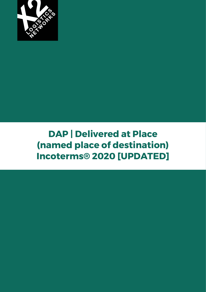

# **DAP | Delivered at Place (named place of destination) Incoterms® 2020 [UPDATED]**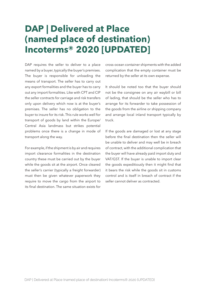## **DAP | Delivered at Place (named place of destination) Incoterms® 2020 [UPDATED]**

DAP requires the seller to deliver to a place named by a buyer, typically the buyer's premises. The buyer is responsible for unloading the means of transport. The seller has to carry out any export formalities and the buyer has to carry out any import formalities. Like with CPT and CIP the seller contracts for carriage and risk transfers only upon delivery which now is at the buyer's premises. The seller has no obligation to the buyer to insure for its risk. This rule works well for transport of goods by land within the Europe/ Central Asia landmass but strikes potential problems once there is a change in mode of transport along the way.

For example, if the shipment is by air and requires import clearance formalities in the destination country these must be carried out by the buyer while the goods sit at the airport. Once cleared the seller's carrier (typically a freight forwarder) must then be given whatever paperwork they require to move the cargo from the airport to its final destination. The same situation exists for

cross-ocean container shipments with the added complication that the empty container must be returned by the seller at its own expense.

It should be noted too that the buyer should not be the consignee on any air waybill or bill of lading, that should be the seller who has to arrange for its forwarder to take possession of the goods from the airline or shipping company and arrange local inland transport typically by truck.

If the goods are damaged or lost at any stage before the final destination then the seller will be unable to deliver and may well be in breach of contract, with the additional complication that the buyer will have already paid import duty and VAT/GST. If the buyer is unable to import clear the goods expeditiously then it might find that it bears the risk while the goods sit in customs control and is itself in breach of contract if the seller cannot deliver as contracted.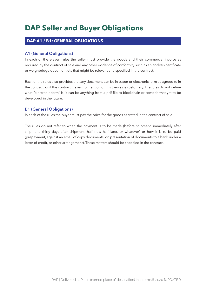## **DAP Seller and Buyer Obligations**

## **DAP A1 / B1: GENERAL OBLIGATIONS**

## **A1 (General Obligations)**

In each of the eleven rules the seller must provide the goods and their commercial invoice as required by the contract of sale and any other evidence of conformity such as an analysis certificate or weighbridge document etc that might be relevant and specified in the contract.

Each of the rules also provides that any document can be in paper or electronic form as agreed to in the contract, or if the contract makes no mention of this then as is customary. The rules do not define what "electronic form" is, it can be anything from a pdf file to blockchain or some format yet to be developed in the future.

## **B1 (General Obligations)**

In each of the rules the buyer must pay the price for the goods as stated in the contract of sale.

The rules do not refer to when the payment is to be made (before shipment, immediately after shipment, thirty days after shipment, half now half later, or whatever) or how it is to be paid (prepayment, against an email of copy documents, on presentation of documents to a bank under a letter of credit, or other arrangement). These matters should be specified in the contract.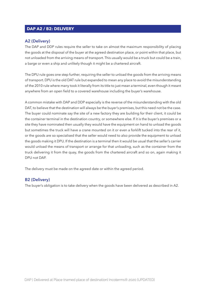## **DAP A2 / B2: DELIVERY**

#### **A2 (Delivery)**

The DAP and DDP rules require the seller to take on almost the maximum responsibility of placing the goods at the disposal of the buyer at the agreed destination place, or point within that place, but not unloaded from the arriving means of transport. This usually would be a truck but could be a train, a barge or even a ship and unlikely though it might be a chartered aircraft.

The DPU rule goes one step further, requiring the seller to unload the goods from the arriving means of transport. DPU is the old DAT rule but expanded to mean any place to avoid the misunderstanding of the 2010 rule where many took it literally from its title to just mean a terminal, even though it meant anywhere from an open field to a covered warehouse including the buyer's warehouse.

A common mistake with DAP and DDP especially is the reverse of the misunderstanding with the old DAT, to believe that the destination will always be the buyer's premises, but this need not be the case. The buyer could nominate say the site of a new factory they are building for their client, it could be the container terminal in the destination country, or somewhere else. If it is the buyer's premises or a site they have nominated then usually they would have the equipment on hand to unload the goods but sometimes the truck will have a crane mounted on it or even a forklift tucked into the rear of it, or the goods are so specialised that the seller would need to also provide the equipment to unload the goods making it DPU. If the destination is a terminal then it would be usual that the seller's carrier would unload the means of transport or arrange for that unloading, such as the container from the truck delivering it from the quay, the goods from the chartered aircraft and so on, again making it DPU not DAP.

The delivery must be made on the agreed date or within the agreed period.

#### **B2 (Delivery)**

The buyer's obligation is to take delivery when the goods have been delivered as described in A2.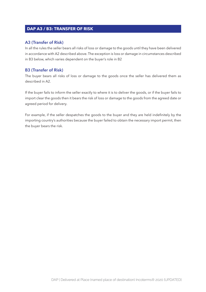## **DAP A3 / B3: TRANSFER OF RISK**

## **A3 (Transfer of Risk)**

In all the rules the seller bears all risks of loss or damage to the goods until they have been delivered in accordance with A2 described above. The exception is loss or damage in circumstances described in B3 below, which varies dependent on the buyer's role in B2

## **B3 (Transfer of Risk)**

The buyer bears all risks of loss or damage to the goods once the seller has delivered them as described in A2.

If the buyer fails to inform the seller exactly to where it is to deliver the goods, or if the buyer fails to import clear the goods then it bears the risk of loss or damage to the goods from the agreed date or agreed period for delivery.

For example, if the seller despatches the goods to the buyer and they are held indefinitely by the importing country's authorities because the buyer failed to obtain the necessary import permit, then the buyer bears the risk.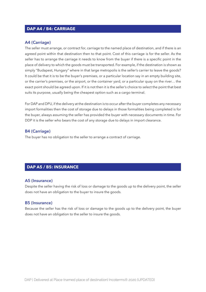## **DAP A4 / B4: CARRIAGE**

#### **A4 (Carriage)**

The seller must arrange, or contract for, carriage to the named place of destination, and if there is an agreed point within that destination then to that point. Cost of this carriage is for the seller. As the seller has to arrange the carriage it needs to know from the buyer if there is a specific point in the place of delivery to which the goods must be transported. For example, if the destination is shown as simply "Budapest, Hungary" where in that large metropolis is the seller's carrier to leave the goods? It could be that it is to be the buyer's premises, or a particular location say in an empty building site, or the carrier's premises, or the airport, or the container yard, or a particular quay on the river… the exact point should be agreed upon. If it is not then it is the seller's choice to select the point that best suits its purpose, usually being the cheapest option such as a cargo terminal.

For DAP and DPU, if the delivery at the destination is to occur after the buyer completes any necessary import formalities then the cost of storage due to delays in those formalities being completed is for the buyer, always assuming the seller has provided the buyer with necessary documents in time. For DDP it is the seller who bears the cost of any storage due to delays in import clearance.

#### **B4 (Carriage)**

The buyer has no obligation to the seller to arrange a contract of carriage.

## **DAP A5 / B5: INSURANCE**

#### **A5 (Insurance)**

Despite the seller having the risk of loss or damage to the goods up to the delivery point, the seller does not have an obligation to the buyer to insure the goods.

#### **B5 (Insurance)**

Because the seller has the risk of loss or damage to the goods up to the delivery point, the buyer does not have an obligation to the seller to insure the goods.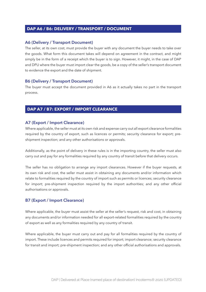## **DAP A6 / B6: DELIVERY / TRANSPORT / DOCUMENT**

#### **A6 (Delivery / Transport Document)**

The seller, at its own cost, must provide the buyer with any document the buyer needs to take over the goods. What form this document takes will depend on agreement in the contract, and might simply be in the form of a receipt which the buyer is to sign. However, it might, in the case of DAP and DPU where the buyer must import clear the goods, be a copy of the seller's transport document to evidence the export and the date of shipment.

#### **B6 (Delivery / Transport Document)**

The buyer must accept the document provided in A6 as it actually takes no part in the transport process.

## **DAP A7 / B7: EXPORT / IMPORT CLEARANCE**

#### **A7 (Export / Import Clearance)**

Where applicable, the seller must at its own risk and expense carry out all export clearance formalities required by the country of export, such as licences or permits; security clearance for export; preshipment inspection; and any other authorisations or approvals.

Additionally, as the point of delivery in these rules is in the importing country, the seller must also carry out and pay for any formalities required by any country of transit before that delivery occurs.

The seller has no obligation to arrange any import clearances. However if the buyer requests, at its own risk and cost, the seller must assist in obtaining any documents and/or information which relate to formalities required by the country of import such as permits or licences; security clearance for import; pre-shipment inspection required by the import authorities; and any other official authorisations or approvals.

## **B7 (Export / Import Clearance)**

Where applicable, the buyer must assist the seller at the seller's request, risk and cost, in obtaining any documents and/or information needed for all export-related formalities required by the country of export as well as any formalities required by any country of transit.

Where applicable, the buyer must carry out and pay for all formalities required by the country of import. These include licences and permits required for import; import clearance; security clearance for transit and import; pre-shipment inspection; and any other official authorisations and approvals.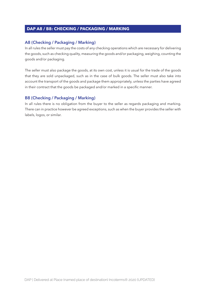## **EXAMPLE A6 / B8: CHECKING / PACKAGING / MARKING**

## **A8 (Checking / Packaging / Marking)**

In all rules the seller must pay the costs of any checking operations which are necessary for delivering the goods, such as checking quality, measuring the goods and/or packaging, weighing, counting the goods and/or packaging.

The seller must also package the goods, at its own cost, unless it is usual for the trade of the goods that they are sold unpackaged, such as in the case of bulk goods. The seller must also take into account the transport of the goods and package them appropriately, unless the parties have agreed in their contract that the goods be packaged and/or marked in a specific manner.

## **B8 (Checking / Packaging / Marking)**

In all rules there is no obligation from the buyer to the seller as regards packaging and marking. There can in practice however be agreed exceptions, such as when the buyer provides the seller with labels, logos, or similar.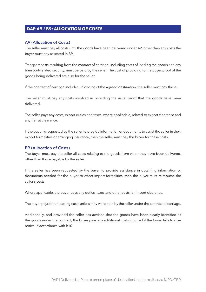## **EXAMPLE A6 / B9: ALLOCATION OF COSTS**

#### **A9 (Allocation of Costs)**

The seller must pay all costs until the goods have been delivered under A2, other than any costs the buyer must pay as stated in B9.

Transport costs resulting from the contract of carriage, including costs of loading the goods and any transport-related security, must be paid by the seller. The cost of providing to the buyer proof of the goods being delivered are also for the seller.

If the contract of carriage includes unloading at the agreed destination, the seller must pay these.

The seller must pay any costs involved in providing the usual proof that the goods have been delivered.

The seller pays any costs, export duties and taxes, where applicable, related to export clearance and any transit clearance.

If the buyer is requested by the seller to provide information or documents to assist the seller in their export formalities or arranging insurance, then the seller must pay the buyer for these costs.

## **B9 (Allocation of Costs)**

The buyer must pay the seller all costs relating to the goods from when they have been delivered, other than those payable by the seller.

If the seller has been requested by the buyer to provide assistance in obtaining information or documents needed for the buyer to effect import formalities, then the buyer must reimburse the seller's costs.

Where applicable, the buyer pays any duties, taxes and other costs for import clearance.

The buyer pays for unloading costs unless they were paid by the seller under the contract of carriage.

Additionally, and provided the seller has advised that the goods have been clearly identified as the goods under the contract, the buyer pays any additional costs incurred if the buyer fails to give notice in accordance with B10.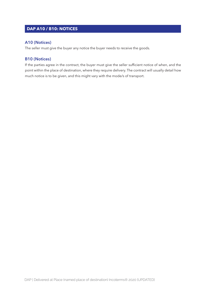## **DAP A10 / B10: NOTICES**

#### **A10 (Notices)**

The seller must give the buyer any notice the buyer needs to receive the goods.

#### **B10 (Notices)**

If the parties agree in the contract, the buyer must give the seller sufficient notice of when, and the point within the place of destination, where they require delivery. The contract will usually detail how much notice is to be given, and this might vary with the mode/s of transport.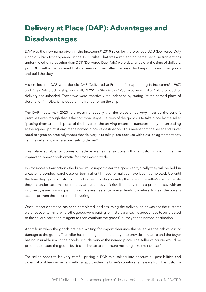## **Delivery at Place (DAP): Advantages and Disadvantages**

DAP was the new name given in the Incoterms® 2010 rules for the previous DDU (Delivered Duty Unpaid) which first appeared in the 1990 rules. That was a misleading name because transactions under the other rules other than DDP (Delivered Duty Paid) were duty unpaid at the time of delivery, yet DDU itself actually meant that delivery occurred after the buyer had import cleared the goods and paid the duty.

Also rolled into DAP were the old DAF (Delivered at Frontier, first appearing in Incoterms® 1967) and DES (Delivered Ex Ship, originally "EXS" Ex Ship in the 1953 rules) which like DDU provided for delivery not unloaded. These two were effectively redundant as by stating "at the named place of destination" in DDU it included at the frontier or on the ship.

The DAP Incoterms® 2020 rule does not specify that the place of delivery must be the buyer's premises even though that is the common usage. Delivery of the goods is to take place by the seller "placing them at the disposal of the buyer on the arriving means of transport ready for unloading at the agreed point, if any, at the named place of destination." This means that the seller and buyer need to agree on precisely where that delivery is to take place because without such agreement how can the seller know where precisely to deliver?

This rule is suitable for domestic trade as well as transactions within a customs union. It can be impractical and/or problematic for cross-ocean trade.

In cross-ocean transactions the buyer must import-clear the goods so typically they will be held in a customs bonded warehouse or terminal until those formalities have been completed. Up until the time they go into customs control in the importing country they are at the seller's risk, but while they are under customs control they are at the buyer's risk. If the buyer has a problem, say with an incorrectly issued import permit which delays clearance or even leads to a refusal to clear, the buyer's actions prevent the seller from delivering.

Once import clearance has been completed, and assuming the delivery point was not the customs warehouse or terminal where the goods were waiting for that clearance, the goods need to be released to the seller's carrier or its agent to then continue the goods' journey to the named destination.

Apart from when the goods are held waiting for import clearance the seller has the risk of loss or damage to the goods. The seller has no obligation to the buyer to provide insurance and the buyer has no insurable risk in the goods until delivery at the named place. The seller of course would be prudent to insure the goods but it can choose to self-insure meaning take the risk itself.

The seller needs to be very careful pricing a DAP sale, taking into account all possibilities and potential problems especially with transport within the buyer's country after release from the customs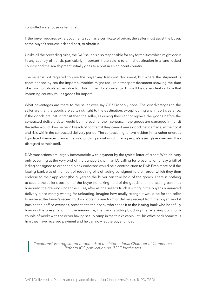controlled warehouse or terminal.

If the buyer requires extra documents such as a certificate of origin, the seller must assist the buyer, at the buyer's request, risk and cost, to obtain it.

Unlike all the preceding rules, the DAP seller is also responsible for any formalities which might occur in any country of transit, particularly important if the sale is to a final destination in a land-locked country and the sea shipment initially goes to a port in an adjacent country.

The seller is not required to give the buyer any transport document, but where the shipment is containerised by sea the import authorities might require a transport document showing the date of export to calculate the value for duty in their local currency. This will be dependent on how that importing country values goods for import.

What advantages are there to the seller over say CIP? Probably none. The disadvantages to the seller are that the goods are at its risk right to the destination, except during any import clearance. If the goods are lost in transit then the seller, assuming they cannot replace the goods before the contracted delivery date, would be in breach of their contract. If the goods are damaged in transit the seller would likewise be in breach of contract if they cannot make good that damage, at their cost and risk, within the contracted delivery period. The contract might have hidden in it a rather onerous liquidated damages clause, the kind of thing about which many people's eyes glaze over and they disregard at their peril.

DAP transactions are largely incompatible with payment by the typical letter of credit. With delivery only occurring at the very end of the transport chain, an LC calling for presentation of say a bill of lading consigned to order and blank endorsed would be a contradiction to DAP. Even more so if the issuing bank was of the habit of requiring bills of lading consigned to their order which they then endorse to their applicant (the buyer) so the buyer can take hold of the goods. There is nothing to secure the seller's position of the buyer not taking hold of the goods until the issuing bank has honoured the drawing under the LC as, after all, the seller's truck is sitting in the buyer's nominated delivery place merely waiting for unloading. Imagine how totally strange it would be for the seller to arrive at the buyer's receiving dock, obtain some form of delivery receipt from the buyer, send it back to their office overseas, present it to their bank who sends it to the issuing bank who hopefully honours the presentation. In the meanwhile, the truck is sitting blocking the receiving dock for a couple of weeks with the driver having set up camp in the truck's cabin until his office back home tells him they have received payment and he can now let the buyer unload!

*"Incoterms" is a registered trademark of the International Chamber of Commerce. Refer to ICC publication no. 723E for the text*